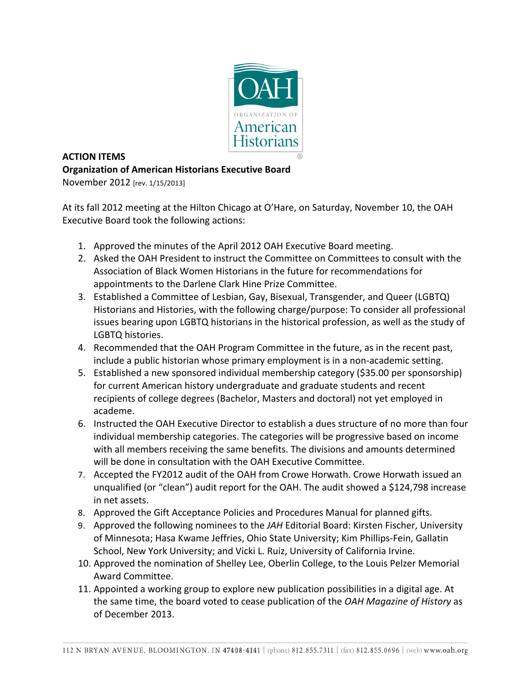

## **ACTION ITEMS Organization of American Historians Executive Board**

November 2012 [rev. 1/15/2013]

At its fall 2012 meeting at the Hilton Chicago at O'Hare, on Saturday, November 10, the OAH Executive Board took the following actions:

- 1. Approved the minutes of the April 2012 OAH Executive Board meeting.
- 2. Asked the OAH President to instruct the Committee on Committees to consult with the Association of Black Women Historians in the future for recommendations for appointments to the Darlene Clark Hine Prize Committee.
- 3. Established a Committee of Lesbian, Gay, Bisexual, Transgender, and Queer (LGBTQ) Historians and Histories, with the following charge/purpose: To consider all professional issues bearing upon LGBTQ historians in the historical profession, as well as the study of LGBTQ histories.
- 4. Recommended that the OAH Program Committee in the future, as in the recent past, include a public historian whose primary employment is in a non-academic setting.
- 5. Established a new sponsored individual membership category (\$35.00 per sponsorship) for current American history undergraduate and graduate students and recent recipients of college degrees (Bachelor, Masters and doctoral) not yet employed in academe.
- 6. Instructed the OAH Executive Director to establish a dues structure of no more than four individual membership categories. The categories will be progressive based on income with all members receiving the same benefits. The divisions and amounts determined will be done in consultation with the OAH Executive Committee.
- 7. Accepted the FY2012 audit of the OAH from Crowe Horwath. Crowe Horwath issued an unqualified (or "clean") audit report for the OAH. The audit showed a \$124,798 increase in net assets.
- 8. Approved the Gift Acceptance Policies and Procedures Manual for planned gifts.
- 9. Approved the following nominees to the *JAH* Editorial Board: Kirsten Fischer, University of Minnesota; Hasa Kwame Jeffries, Ohio State University; Kim Phillips-Fein, Gallatin School, New York University; and Vicki L. Ruiz, University of California Irvine.
- 10. Approved the nomination of Shelley Lee, Oberlin College, to the Louis Pelzer Memorial Award Committee.
- 11. Appointed a working group to explore new publication possibilities in a digital age. At the same time, the board voted to cease publication of the *OAH Magazine of History* as of December 2013.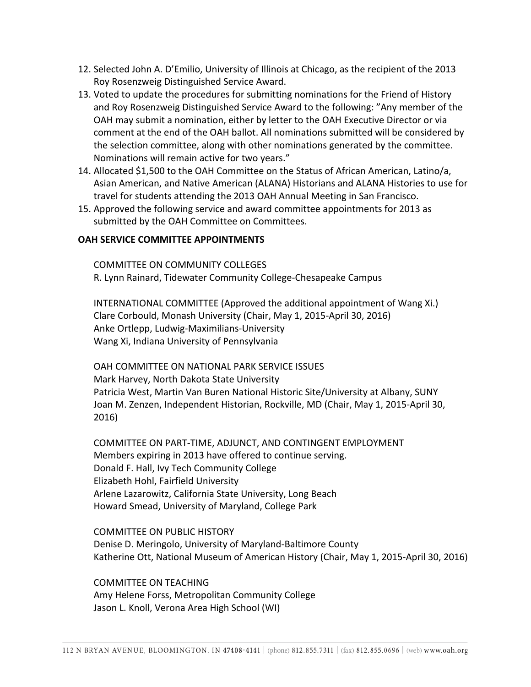- 12. Selected John A. D'Emilio, University of Illinois at Chicago, as the recipient of the 2013 Roy Rosenzweig Distinguished Service Award.
- 13. Voted to update the procedures for submitting nominations for the Friend of History and Roy Rosenzweig Distinguished Service Award to the following: "Any member of the OAH may submit a nomination, either by letter to the OAH Executive Director or via comment at the end of the OAH ballot. All nominations submitted will be considered by the selection committee, along with other nominations generated by the committee. Nominations will remain active for two years."
- 14. Allocated \$1,500 to the OAH Committee on the Status of African American, Latino/a, Asian American, and Native American (ALANA) Historians and ALANA Histories to use for travel for students attending the 2013 OAH Annual Meeting in San Francisco.
- 15. Approved the following service and award committee appointments for 2013 as submitted by the OAH Committee on Committees.

## **OAH SERVICE COMMITTEE APPOINTMENTS**

COMMITTEE ON COMMUNITY COLLEGES R. Lynn Rainard, Tidewater Community College-Chesapeake Campus

INTERNATIONAL COMMITTEE (Approved the additional appointment of Wang Xi.) Clare Corbould, Monash University (Chair, May 1, 2015-April 30, 2016) Anke Ortlepp, Ludwig-Maximilians-University Wang Xi, Indiana University of Pennsylvania

OAH COMMITTEE ON NATIONAL PARK SERVICE ISSUES Mark Harvey, North Dakota State University Patricia West, Martin Van Buren National Historic Site/University at Albany, SUNY Joan M. Zenzen, Independent Historian, Rockville, MD (Chair, May 1, 2015-April 30, 2016)

COMMITTEE ON PART-TIME, ADJUNCT, AND CONTINGENT EMPLOYMENT Members expiring in 2013 have offered to continue serving. Donald F. Hall, Ivy Tech Community College Elizabeth Hohl, Fairfield University Arlene Lazarowitz, California State University, Long Beach Howard Smead, University of Maryland, College Park

COMMITTEE ON PUBLIC HISTORY Denise D. Meringolo, University of Maryland-Baltimore County Katherine Ott, National Museum of American History (Chair, May 1, 2015-April 30, 2016)

**COMMITTEE ON TEACHING** Amy Helene Forss, Metropolitan Community College Jason L. Knoll, Verona Area High School (WI)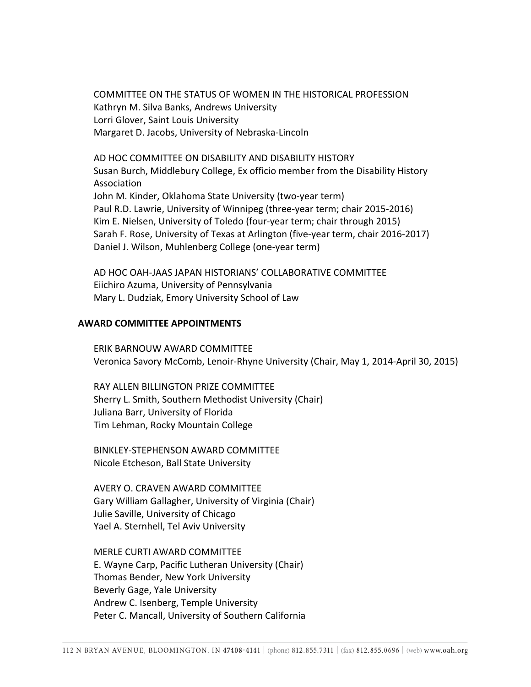COMMITTEE ON THE STATUS OF WOMEN IN THE HISTORICAL PROFESSION Kathryn M. Silva Banks, Andrews University Lorri Glover, Saint Louis University Margaret D. Jacobs, University of Nebraska-Lincoln

AD HOC COMMITTEE ON DISABILITY AND DISABILITY HISTORY Susan Burch, Middlebury College, Ex officio member from the Disability History Association John M. Kinder, Oklahoma State University (two-year term) Paul R.D. Lawrie, University of Winnipeg (three-year term; chair 2015-2016) Kim E. Nielsen, University of Toledo (four-year term; chair through 2015) Sarah F. Rose, University of Texas at Arlington (five-year term, chair 2016-2017) Daniel J. Wilson, Muhlenberg College (one-year term)

AD HOC OAH-JAAS JAPAN HISTORIANS' COLLABORATIVE COMMITTEE Eiichiro Azuma, University of Pennsylvania Mary L. Dudziak, Emory University School of Law

## **AWARD COMMITTEE APPOINTMENTS**

ERIK BARNOUW AWARD COMMITTEE Veronica Savory McComb, Lenoir-Rhyne University (Chair, May 1, 2014-April 30, 2015)

RAY ALLEN BILLINGTON PRIZE COMMITTEE Sherry L. Smith, Southern Methodist University (Chair) Juliana Barr, University of Florida Tim Lehman, Rocky Mountain College

BINKLEY-STEPHENSON AWARD COMMITTEE Nicole Etcheson, Ball State University

AVERY O. CRAVEN AWARD COMMITTEE Gary William Gallagher, University of Virginia (Chair) Julie Saville, University of Chicago Yael A. Sternhell, Tel Aviv University

MERLE CURTI AWARD COMMITTEE E. Wayne Carp, Pacific Lutheran University (Chair) Thomas Bender, New York University Beverly Gage, Yale University Andrew C. Isenberg, Temple University Peter C. Mancall, University of Southern California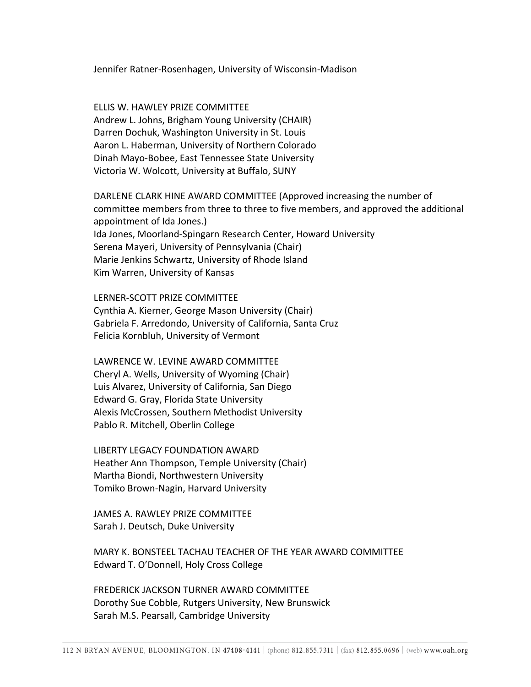Jennifer Ratner-Rosenhagen, University of Wisconsin-Madison

ELLIS W. HAWLEY PRIZE COMMITTEE Andrew L. Johns, Brigham Young University (CHAIR) Darren Dochuk, Washington University in St. Louis Aaron L. Haberman, University of Northern Colorado Dinah Mayo-Bobee, East Tennessee State University Victoria W. Wolcott, University at Buffalo, SUNY

DARLENE CLARK HINE AWARD COMMITTEE (Approved increasing the number of committee members from three to three to five members, and approved the additional appointment of Ida Jones.) Ida Jones, Moorland-Spingarn Research Center, Howard University Serena Mayeri, University of Pennsylvania (Chair) Marie Jenkins Schwartz, University of Rhode Island Kim Warren, University of Kansas

LERNER-SCOTT PRIZE COMMITTEE Cynthia A. Kierner, George Mason University (Chair) Gabriela F. Arredondo, University of California, Santa Cruz Felicia Kornbluh, University of Vermont

LAWRENCE W. LEVINE AWARD COMMITTEE Cheryl A. Wells, University of Wyoming (Chair) Luis Alvarez, University of California, San Diego Edward G. Gray, Florida State University Alexis McCrossen, Southern Methodist University Pablo R. Mitchell, Oberlin College

LIBERTY LEGACY FOUNDATION AWARD Heather Ann Thompson, Temple University (Chair) Martha Biondi, Northwestern University Tomiko Brown-Nagin, Harvard University

JAMES A. RAWLEY PRIZE COMMITTEE Sarah J. Deutsch, Duke University

MARY K. BONSTEEL TACHAU TEACHER OF THE YEAR AWARD COMMITTEE Edward T. O'Donnell, Holy Cross College

FREDERICK JACKSON TURNER AWARD COMMITTEE Dorothy Sue Cobble, Rutgers University, New Brunswick Sarah M.S. Pearsall, Cambridge University